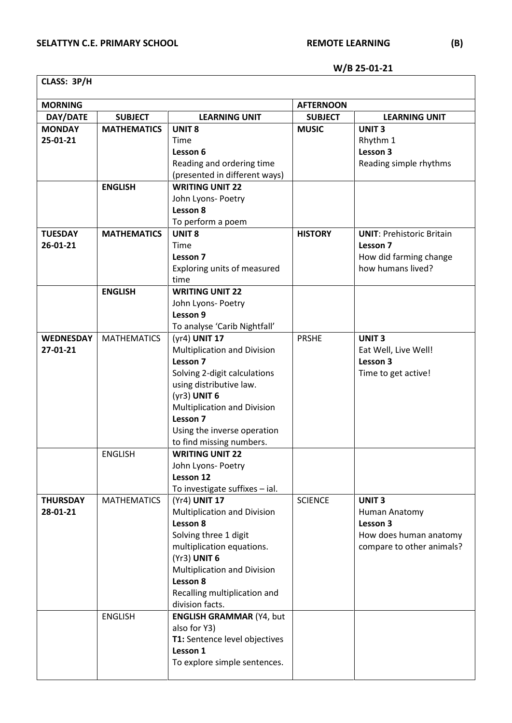**W/B 25-01-21**

**CLASS: 3P/H**

| <b>SUBJECT</b><br>DAY/DATE<br><b>LEARNING UNIT</b><br><b>SUBJECT</b><br><b>LEARNING UNIT</b><br><b>UNIT 8</b><br><b>MONDAY</b><br><b>MATHEMATICS</b><br><b>MUSIC</b><br><b>UNIT3</b><br>25-01-21<br>Rhythm 1<br>Time<br>Lesson 3<br>Lesson 6<br>Reading simple rhythms<br>Reading and ordering time<br>(presented in different ways)<br><b>ENGLISH</b><br><b>WRITING UNIT 22</b><br>John Lyons- Poetry<br>Lesson 8<br>To perform a poem<br><b>MATHEMATICS</b><br><b>UNIT 8</b><br><b>HISTORY</b><br><b>TUESDAY</b><br><b>UNIT: Prehistoric Britain</b><br>26-01-21<br>Lesson 7<br>Time<br>Lesson 7<br>How did farming change<br>how humans lived?<br>Exploring units of measured<br>time<br><b>ENGLISH</b><br><b>WRITING UNIT 22</b><br>John Lyons- Poetry<br>Lesson 9<br>To analyse 'Carib Nightfall'<br><b>MATHEMATICS</b><br>(yr4) UNIT 17<br><b>PRSHE</b><br><b>UNIT3</b><br><b>WEDNESDAY</b><br>27-01-21<br><b>Multiplication and Division</b><br>Eat Well, Live Well!<br>Lesson 7<br>Lesson 3<br>Solving 2-digit calculations<br>Time to get active!<br>using distributive law.<br>$(yr3)$ UNIT 6<br>Multiplication and Division<br>Lesson 7<br>Using the inverse operation<br>to find missing numbers.<br><b>WRITING UNIT 22</b><br><b>ENGLISH</b><br>John Lyons- Poetry<br>Lesson 12<br>To investigate suffixes - ial.<br><b>MATHEMATICS</b><br><b>SCIENCE</b><br><b>THURSDAY</b><br>(Yr4) UNIT 17<br><b>UNIT3</b><br>28-01-21<br>Multiplication and Division<br>Human Anatomy<br>Lesson 8<br>Lesson 3<br>Solving three 1 digit<br>How does human anatomy<br>multiplication equations.<br>compare to other animals?<br>$(Yr3)$ UNIT 6 | <b>MORNING</b> |  |  | <b>AFTERNOON</b> |  |
|-----------------------------------------------------------------------------------------------------------------------------------------------------------------------------------------------------------------------------------------------------------------------------------------------------------------------------------------------------------------------------------------------------------------------------------------------------------------------------------------------------------------------------------------------------------------------------------------------------------------------------------------------------------------------------------------------------------------------------------------------------------------------------------------------------------------------------------------------------------------------------------------------------------------------------------------------------------------------------------------------------------------------------------------------------------------------------------------------------------------------------------------------------------------------------------------------------------------------------------------------------------------------------------------------------------------------------------------------------------------------------------------------------------------------------------------------------------------------------------------------------------------------------------------------------------------------------------------------------------------------------------------------|----------------|--|--|------------------|--|
|                                                                                                                                                                                                                                                                                                                                                                                                                                                                                                                                                                                                                                                                                                                                                                                                                                                                                                                                                                                                                                                                                                                                                                                                                                                                                                                                                                                                                                                                                                                                                                                                                                               |                |  |  |                  |  |
|                                                                                                                                                                                                                                                                                                                                                                                                                                                                                                                                                                                                                                                                                                                                                                                                                                                                                                                                                                                                                                                                                                                                                                                                                                                                                                                                                                                                                                                                                                                                                                                                                                               |                |  |  |                  |  |
|                                                                                                                                                                                                                                                                                                                                                                                                                                                                                                                                                                                                                                                                                                                                                                                                                                                                                                                                                                                                                                                                                                                                                                                                                                                                                                                                                                                                                                                                                                                                                                                                                                               |                |  |  |                  |  |
|                                                                                                                                                                                                                                                                                                                                                                                                                                                                                                                                                                                                                                                                                                                                                                                                                                                                                                                                                                                                                                                                                                                                                                                                                                                                                                                                                                                                                                                                                                                                                                                                                                               |                |  |  |                  |  |
|                                                                                                                                                                                                                                                                                                                                                                                                                                                                                                                                                                                                                                                                                                                                                                                                                                                                                                                                                                                                                                                                                                                                                                                                                                                                                                                                                                                                                                                                                                                                                                                                                                               |                |  |  |                  |  |
|                                                                                                                                                                                                                                                                                                                                                                                                                                                                                                                                                                                                                                                                                                                                                                                                                                                                                                                                                                                                                                                                                                                                                                                                                                                                                                                                                                                                                                                                                                                                                                                                                                               |                |  |  |                  |  |
|                                                                                                                                                                                                                                                                                                                                                                                                                                                                                                                                                                                                                                                                                                                                                                                                                                                                                                                                                                                                                                                                                                                                                                                                                                                                                                                                                                                                                                                                                                                                                                                                                                               |                |  |  |                  |  |
|                                                                                                                                                                                                                                                                                                                                                                                                                                                                                                                                                                                                                                                                                                                                                                                                                                                                                                                                                                                                                                                                                                                                                                                                                                                                                                                                                                                                                                                                                                                                                                                                                                               |                |  |  |                  |  |
|                                                                                                                                                                                                                                                                                                                                                                                                                                                                                                                                                                                                                                                                                                                                                                                                                                                                                                                                                                                                                                                                                                                                                                                                                                                                                                                                                                                                                                                                                                                                                                                                                                               |                |  |  |                  |  |
|                                                                                                                                                                                                                                                                                                                                                                                                                                                                                                                                                                                                                                                                                                                                                                                                                                                                                                                                                                                                                                                                                                                                                                                                                                                                                                                                                                                                                                                                                                                                                                                                                                               |                |  |  |                  |  |
|                                                                                                                                                                                                                                                                                                                                                                                                                                                                                                                                                                                                                                                                                                                                                                                                                                                                                                                                                                                                                                                                                                                                                                                                                                                                                                                                                                                                                                                                                                                                                                                                                                               |                |  |  |                  |  |
|                                                                                                                                                                                                                                                                                                                                                                                                                                                                                                                                                                                                                                                                                                                                                                                                                                                                                                                                                                                                                                                                                                                                                                                                                                                                                                                                                                                                                                                                                                                                                                                                                                               |                |  |  |                  |  |
|                                                                                                                                                                                                                                                                                                                                                                                                                                                                                                                                                                                                                                                                                                                                                                                                                                                                                                                                                                                                                                                                                                                                                                                                                                                                                                                                                                                                                                                                                                                                                                                                                                               |                |  |  |                  |  |
|                                                                                                                                                                                                                                                                                                                                                                                                                                                                                                                                                                                                                                                                                                                                                                                                                                                                                                                                                                                                                                                                                                                                                                                                                                                                                                                                                                                                                                                                                                                                                                                                                                               |                |  |  |                  |  |
|                                                                                                                                                                                                                                                                                                                                                                                                                                                                                                                                                                                                                                                                                                                                                                                                                                                                                                                                                                                                                                                                                                                                                                                                                                                                                                                                                                                                                                                                                                                                                                                                                                               |                |  |  |                  |  |
|                                                                                                                                                                                                                                                                                                                                                                                                                                                                                                                                                                                                                                                                                                                                                                                                                                                                                                                                                                                                                                                                                                                                                                                                                                                                                                                                                                                                                                                                                                                                                                                                                                               |                |  |  |                  |  |
|                                                                                                                                                                                                                                                                                                                                                                                                                                                                                                                                                                                                                                                                                                                                                                                                                                                                                                                                                                                                                                                                                                                                                                                                                                                                                                                                                                                                                                                                                                                                                                                                                                               |                |  |  |                  |  |
|                                                                                                                                                                                                                                                                                                                                                                                                                                                                                                                                                                                                                                                                                                                                                                                                                                                                                                                                                                                                                                                                                                                                                                                                                                                                                                                                                                                                                                                                                                                                                                                                                                               |                |  |  |                  |  |
|                                                                                                                                                                                                                                                                                                                                                                                                                                                                                                                                                                                                                                                                                                                                                                                                                                                                                                                                                                                                                                                                                                                                                                                                                                                                                                                                                                                                                                                                                                                                                                                                                                               |                |  |  |                  |  |
|                                                                                                                                                                                                                                                                                                                                                                                                                                                                                                                                                                                                                                                                                                                                                                                                                                                                                                                                                                                                                                                                                                                                                                                                                                                                                                                                                                                                                                                                                                                                                                                                                                               |                |  |  |                  |  |
|                                                                                                                                                                                                                                                                                                                                                                                                                                                                                                                                                                                                                                                                                                                                                                                                                                                                                                                                                                                                                                                                                                                                                                                                                                                                                                                                                                                                                                                                                                                                                                                                                                               |                |  |  |                  |  |
|                                                                                                                                                                                                                                                                                                                                                                                                                                                                                                                                                                                                                                                                                                                                                                                                                                                                                                                                                                                                                                                                                                                                                                                                                                                                                                                                                                                                                                                                                                                                                                                                                                               |                |  |  |                  |  |
|                                                                                                                                                                                                                                                                                                                                                                                                                                                                                                                                                                                                                                                                                                                                                                                                                                                                                                                                                                                                                                                                                                                                                                                                                                                                                                                                                                                                                                                                                                                                                                                                                                               |                |  |  |                  |  |
|                                                                                                                                                                                                                                                                                                                                                                                                                                                                                                                                                                                                                                                                                                                                                                                                                                                                                                                                                                                                                                                                                                                                                                                                                                                                                                                                                                                                                                                                                                                                                                                                                                               |                |  |  |                  |  |
|                                                                                                                                                                                                                                                                                                                                                                                                                                                                                                                                                                                                                                                                                                                                                                                                                                                                                                                                                                                                                                                                                                                                                                                                                                                                                                                                                                                                                                                                                                                                                                                                                                               |                |  |  |                  |  |
|                                                                                                                                                                                                                                                                                                                                                                                                                                                                                                                                                                                                                                                                                                                                                                                                                                                                                                                                                                                                                                                                                                                                                                                                                                                                                                                                                                                                                                                                                                                                                                                                                                               |                |  |  |                  |  |
|                                                                                                                                                                                                                                                                                                                                                                                                                                                                                                                                                                                                                                                                                                                                                                                                                                                                                                                                                                                                                                                                                                                                                                                                                                                                                                                                                                                                                                                                                                                                                                                                                                               |                |  |  |                  |  |
|                                                                                                                                                                                                                                                                                                                                                                                                                                                                                                                                                                                                                                                                                                                                                                                                                                                                                                                                                                                                                                                                                                                                                                                                                                                                                                                                                                                                                                                                                                                                                                                                                                               |                |  |  |                  |  |
|                                                                                                                                                                                                                                                                                                                                                                                                                                                                                                                                                                                                                                                                                                                                                                                                                                                                                                                                                                                                                                                                                                                                                                                                                                                                                                                                                                                                                                                                                                                                                                                                                                               |                |  |  |                  |  |
|                                                                                                                                                                                                                                                                                                                                                                                                                                                                                                                                                                                                                                                                                                                                                                                                                                                                                                                                                                                                                                                                                                                                                                                                                                                                                                                                                                                                                                                                                                                                                                                                                                               |                |  |  |                  |  |
|                                                                                                                                                                                                                                                                                                                                                                                                                                                                                                                                                                                                                                                                                                                                                                                                                                                                                                                                                                                                                                                                                                                                                                                                                                                                                                                                                                                                                                                                                                                                                                                                                                               |                |  |  |                  |  |
|                                                                                                                                                                                                                                                                                                                                                                                                                                                                                                                                                                                                                                                                                                                                                                                                                                                                                                                                                                                                                                                                                                                                                                                                                                                                                                                                                                                                                                                                                                                                                                                                                                               |                |  |  |                  |  |
|                                                                                                                                                                                                                                                                                                                                                                                                                                                                                                                                                                                                                                                                                                                                                                                                                                                                                                                                                                                                                                                                                                                                                                                                                                                                                                                                                                                                                                                                                                                                                                                                                                               |                |  |  |                  |  |
|                                                                                                                                                                                                                                                                                                                                                                                                                                                                                                                                                                                                                                                                                                                                                                                                                                                                                                                                                                                                                                                                                                                                                                                                                                                                                                                                                                                                                                                                                                                                                                                                                                               |                |  |  |                  |  |
|                                                                                                                                                                                                                                                                                                                                                                                                                                                                                                                                                                                                                                                                                                                                                                                                                                                                                                                                                                                                                                                                                                                                                                                                                                                                                                                                                                                                                                                                                                                                                                                                                                               |                |  |  |                  |  |
|                                                                                                                                                                                                                                                                                                                                                                                                                                                                                                                                                                                                                                                                                                                                                                                                                                                                                                                                                                                                                                                                                                                                                                                                                                                                                                                                                                                                                                                                                                                                                                                                                                               |                |  |  |                  |  |
|                                                                                                                                                                                                                                                                                                                                                                                                                                                                                                                                                                                                                                                                                                                                                                                                                                                                                                                                                                                                                                                                                                                                                                                                                                                                                                                                                                                                                                                                                                                                                                                                                                               |                |  |  |                  |  |
|                                                                                                                                                                                                                                                                                                                                                                                                                                                                                                                                                                                                                                                                                                                                                                                                                                                                                                                                                                                                                                                                                                                                                                                                                                                                                                                                                                                                                                                                                                                                                                                                                                               |                |  |  |                  |  |
|                                                                                                                                                                                                                                                                                                                                                                                                                                                                                                                                                                                                                                                                                                                                                                                                                                                                                                                                                                                                                                                                                                                                                                                                                                                                                                                                                                                                                                                                                                                                                                                                                                               |                |  |  |                  |  |
|                                                                                                                                                                                                                                                                                                                                                                                                                                                                                                                                                                                                                                                                                                                                                                                                                                                                                                                                                                                                                                                                                                                                                                                                                                                                                                                                                                                                                                                                                                                                                                                                                                               |                |  |  |                  |  |
| <b>Multiplication and Division</b>                                                                                                                                                                                                                                                                                                                                                                                                                                                                                                                                                                                                                                                                                                                                                                                                                                                                                                                                                                                                                                                                                                                                                                                                                                                                                                                                                                                                                                                                                                                                                                                                            |                |  |  |                  |  |
| Lesson 8                                                                                                                                                                                                                                                                                                                                                                                                                                                                                                                                                                                                                                                                                                                                                                                                                                                                                                                                                                                                                                                                                                                                                                                                                                                                                                                                                                                                                                                                                                                                                                                                                                      |                |  |  |                  |  |
| Recalling multiplication and                                                                                                                                                                                                                                                                                                                                                                                                                                                                                                                                                                                                                                                                                                                                                                                                                                                                                                                                                                                                                                                                                                                                                                                                                                                                                                                                                                                                                                                                                                                                                                                                                  |                |  |  |                  |  |
| division facts.                                                                                                                                                                                                                                                                                                                                                                                                                                                                                                                                                                                                                                                                                                                                                                                                                                                                                                                                                                                                                                                                                                                                                                                                                                                                                                                                                                                                                                                                                                                                                                                                                               |                |  |  |                  |  |
| <b>ENGLISH</b><br><b>ENGLISH GRAMMAR (Y4, but</b>                                                                                                                                                                                                                                                                                                                                                                                                                                                                                                                                                                                                                                                                                                                                                                                                                                                                                                                                                                                                                                                                                                                                                                                                                                                                                                                                                                                                                                                                                                                                                                                             |                |  |  |                  |  |
| also for Y3)                                                                                                                                                                                                                                                                                                                                                                                                                                                                                                                                                                                                                                                                                                                                                                                                                                                                                                                                                                                                                                                                                                                                                                                                                                                                                                                                                                                                                                                                                                                                                                                                                                  |                |  |  |                  |  |
| T1: Sentence level objectives                                                                                                                                                                                                                                                                                                                                                                                                                                                                                                                                                                                                                                                                                                                                                                                                                                                                                                                                                                                                                                                                                                                                                                                                                                                                                                                                                                                                                                                                                                                                                                                                                 |                |  |  |                  |  |
| Lesson 1                                                                                                                                                                                                                                                                                                                                                                                                                                                                                                                                                                                                                                                                                                                                                                                                                                                                                                                                                                                                                                                                                                                                                                                                                                                                                                                                                                                                                                                                                                                                                                                                                                      |                |  |  |                  |  |
| To explore simple sentences.                                                                                                                                                                                                                                                                                                                                                                                                                                                                                                                                                                                                                                                                                                                                                                                                                                                                                                                                                                                                                                                                                                                                                                                                                                                                                                                                                                                                                                                                                                                                                                                                                  |                |  |  |                  |  |
|                                                                                                                                                                                                                                                                                                                                                                                                                                                                                                                                                                                                                                                                                                                                                                                                                                                                                                                                                                                                                                                                                                                                                                                                                                                                                                                                                                                                                                                                                                                                                                                                                                               |                |  |  |                  |  |